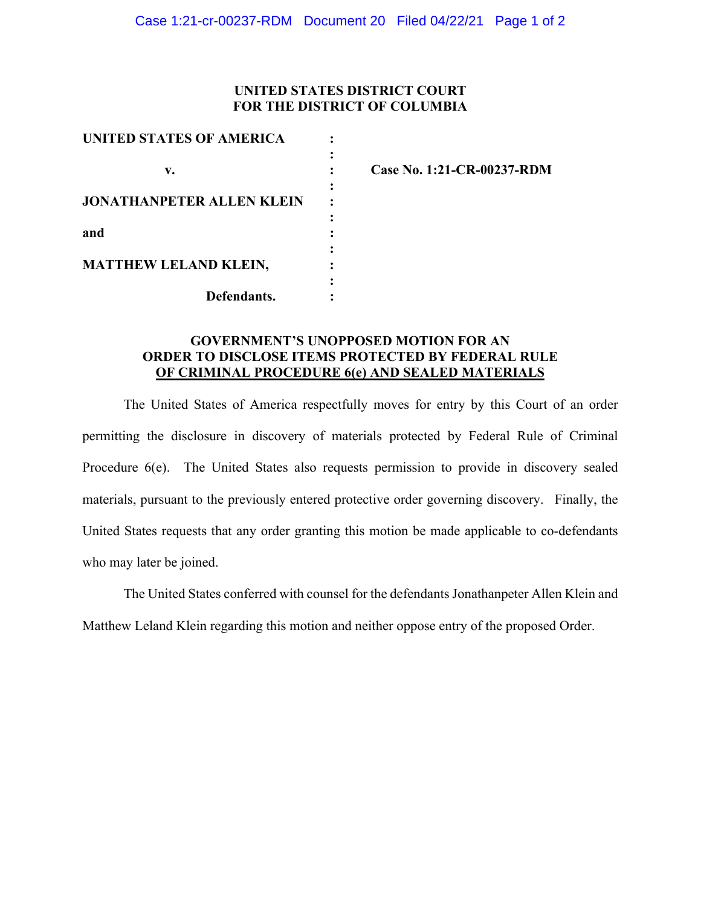### **UNITED STATES DISTRICT COURT FOR THE DISTRICT OF COLUMBIA**

| <b>UNITED STATES OF AMERICA</b>  |  |
|----------------------------------|--|
| v.                               |  |
| <b>JONATHANPETER ALLEN KLEIN</b> |  |
| and                              |  |
| <b>MATTHEW LELAND KLEIN,</b>     |  |
| Defendants.                      |  |

**v. : Case No. 1:21-CR-00237-RDM** 

# **GOVERNMENT'S UNOPPOSED MOTION FOR AN ORDER TO DISCLOSE ITEMS PROTECTED BY FEDERAL RULE OF CRIMINAL PROCEDURE 6(e) AND SEALED MATERIALS**

The United States of America respectfully moves for entry by this Court of an order permitting the disclosure in discovery of materials protected by Federal Rule of Criminal Procedure 6(e). The United States also requests permission to provide in discovery sealed materials, pursuant to the previously entered protective order governing discovery. Finally, the United States requests that any order granting this motion be made applicable to co-defendants who may later be joined.

The United States conferred with counsel for the defendants Jonathanpeter Allen Klein and Matthew Leland Klein regarding this motion and neither oppose entry of the proposed Order.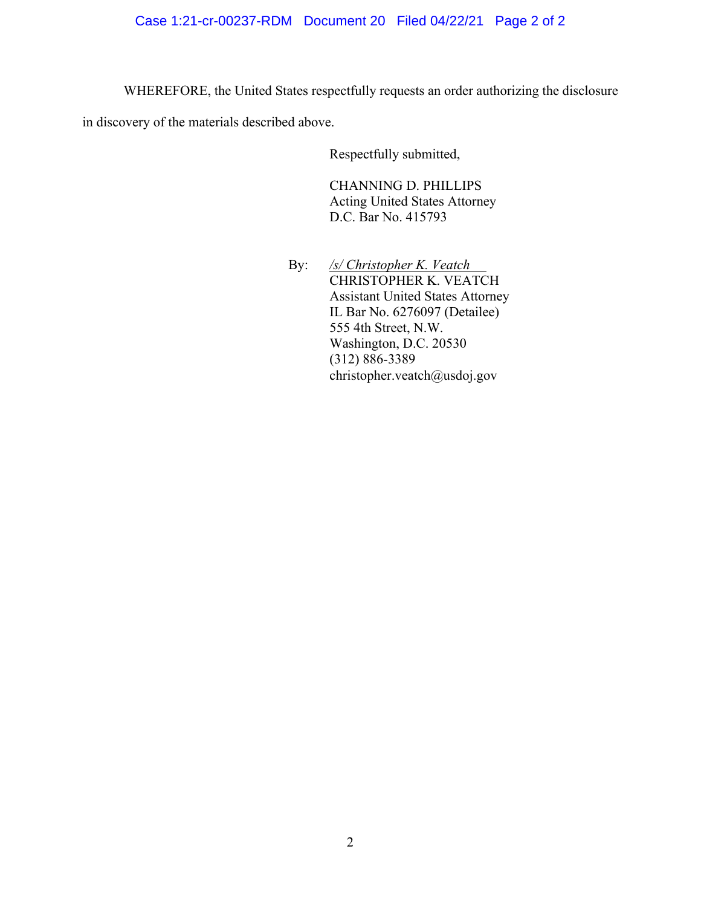WHEREFORE, the United States respectfully requests an order authorizing the disclosure

in discovery of the materials described above.

Respectfully submitted,

CHANNING D. PHILLIPS Acting United States Attorney D.C. Bar No. 415793

 By: */s/ Christopher K. Veatch*  CHRISTOPHER K. VEATCH Assistant United States Attorney IL Bar No. 6276097 (Detailee) 555 4th Street, N.W. Washington, D.C. 20530 (312) 886-3389 christopher.veatch@usdoj.gov